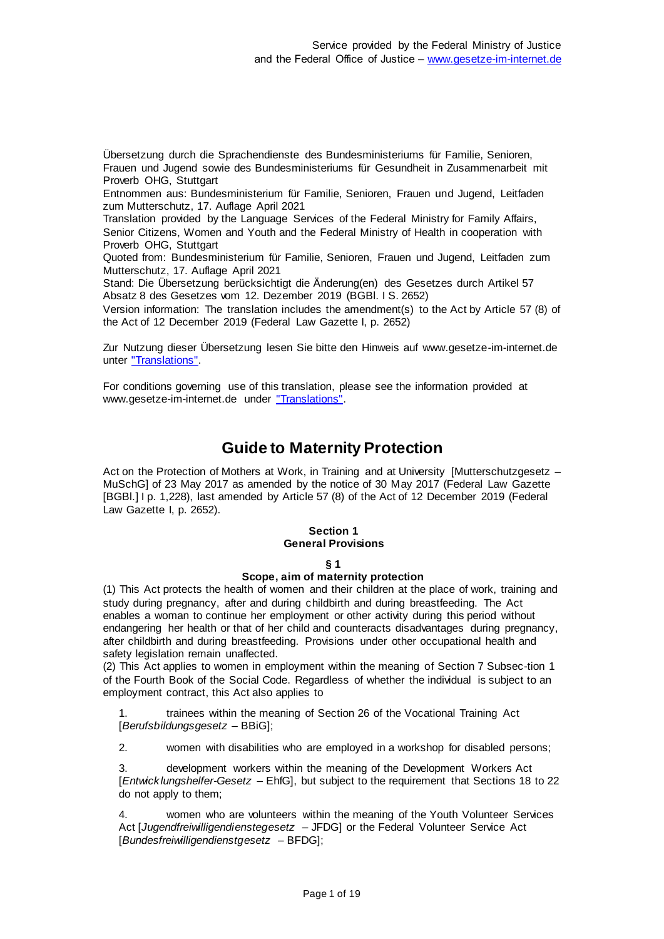Übersetzung durch die Sprachendienste des Bundesministeriums für Familie, Senioren, Frauen und Jugend sowie des Bundesministeriums für Gesundheit in Zusammenarbeit mit Proverb OHG, Stuttgart

Entnommen aus: Bundesministerium für Familie, Senioren, Frauen und Jugend, Leitfaden zum Mutterschutz, 17. Auflage April 2021

Translation provided by the Language Services of the Federal Ministry for Family Affairs, Senior Citizens, Women and Youth and the Federal Ministry of Health in cooperation with Proverb OHG, Stuttgart

Quoted from: Bundesministerium für Familie, Senioren, Frauen und Jugend, Leitfaden zum Mutterschutz, 17. Auflage April 2021

Stand: Die Übersetzung berücksichtigt die Änderung(en) des Gesetzes durch Artikel 57 Absatz 8 des Gesetzes vom 12. Dezember 2019 (BGBl. I S. 2652)

Version information: The translation includes the amendment(s) to the Act by Article 57 (8) of the Act of 12 December 2019 (Federal Law Gazette I, p. 2652)

Zur Nutzung dieser Übersetzung lesen Sie bitte den Hinweis auf www.gesetze-im-internet.de unter ["Translations".](https://www.gesetze-im-internet.de/Teilliste_translations.html)

For conditions governing use of this translation, please see the information provided at www.gesetze-im-internet.de under ["Translations".](https://www.gesetze-im-internet.de/Teilliste_translations.html)

# **Guide to Maternity Protection**

Act on the Protection of Mothers at Work, in Training and at University [Mutterschutzgesetz – MuSchG] of 23 May 2017 as amended by the notice of 30 May 2017 (Federal Law Gazette [BGBl.] I p. 1,228), last amended by Article 57 (8) of the Act of 12 December 2019 (Federal Law Gazette I, p. 2652).

### **Section 1 General Provisions**

### **§ 1**

### **Scope, aim of maternity protection**

(1) This Act protects the health of women and their children at the place of work, training and study during pregnancy, after and during childbirth and during breastfeeding. The Act enables a woman to continue her employment or other activity during this period without endangering her health or that of her child and counteracts disadvantages during pregnancy, after childbirth and during breastfeeding. Provisions under other occupational health and safety legislation remain unaffected.

(2) This Act applies to women in employment within the meaning of Section 7 Subsec-tion 1 of the Fourth Book of the Social Code. Regardless of whether the individual is subject to an employment contract, this Act also applies to

trainees within the meaning of Section 26 of the Vocational Training Act [*Berufsbildungsgesetz* – BBiG];

2. women with disabilities who are employed in a workshop for disabled persons;

3. development workers within the meaning of the Development Workers Act [*Entwicklungshelfer-Gesetz* – EhfG], but subject to the requirement that Sections 18 to 22 do not apply to them;

4. women who are volunteers within the meaning of the Youth Volunteer Services Act [*Jugendfreiwilligendienstegesetz* – JFDG] or the Federal Volunteer Service Act [*Bundesfreiwilligendienstgesetz* – BFDG];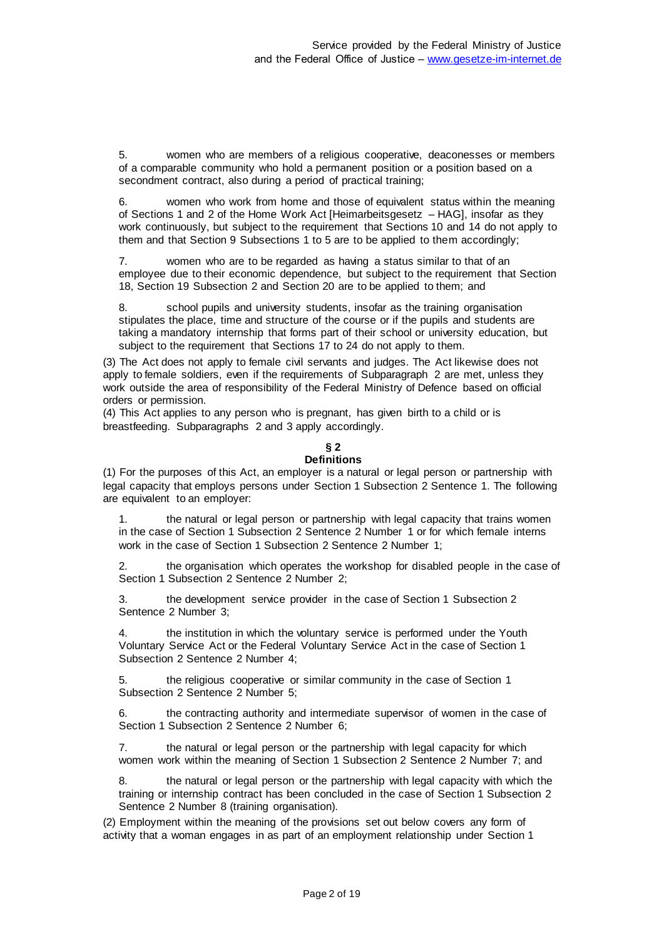5. women who are members of a religious cooperative, deaconesses or members of a comparable community who hold a permanent position or a position based on a secondment contract, also during a period of practical training;

6. women who work from home and those of equivalent status within the meaning of Sections 1 and 2 of the Home Work Act [Heimarbeitsgesetz – HAG], insofar as they work continuously, but subject to the requirement that Sections 10 and 14 do not apply to them and that Section 9 Subsections 1 to 5 are to be applied to them accordingly;

7. women who are to be regarded as having a status similar to that of an employee due to their economic dependence, but subject to the requirement that Section 18, Section 19 Subsection 2 and Section 20 are to be applied to them; and

8. school pupils and university students, insofar as the training organisation stipulates the place, time and structure of the course or if the pupils and students are taking a mandatory internship that forms part of their school or university education, but subject to the requirement that Sections 17 to 24 do not apply to them.

(3) The Act does not apply to female civil servants and judges. The Act likewise does not apply to female soldiers, even if the requirements of Subparagraph 2 are met, unless they work outside the area of responsibility of the Federal Ministry of Defence based on official orders or permission.

(4) This Act applies to any person who is pregnant, has given birth to a child or is breastfeeding. Subparagraphs 2 and 3 apply accordingly.

# **§ 2**

**Definitions**

(1) For the purposes of this Act, an employer is a natural or legal person or partnership with legal capacity that employs persons under Section 1 Subsection 2 Sentence 1. The following are equivalent to an employer:

1. the natural or legal person or partnership with legal capacity that trains women in the case of Section 1 Subsection 2 Sentence 2 Number 1 or for which female interns work in the case of Section 1 Subsection 2 Sentence 2 Number 1;

2. the organisation which operates the workshop for disabled people in the case of Section 1 Subsection 2 Sentence 2 Number 2;

3. the development service provider in the case of Section 1 Subsection 2 Sentence 2 Number 3;

4. the institution in which the voluntary service is performed under the Youth Voluntary Service Act or the Federal Voluntary Service Act in the case of Section 1 Subsection 2 Sentence 2 Number 4;

5. the religious cooperative or similar community in the case of Section 1 Subsection 2 Sentence 2 Number 5;

the contracting authority and intermediate supervisor of women in the case of Section 1 Subsection 2 Sentence 2 Number 6;

7. the natural or legal person or the partnership with legal capacity for which women work within the meaning of Section 1 Subsection 2 Sentence 2 Number 7; and

8. the natural or legal person or the partnership with legal capacity with which the training or internship contract has been concluded in the case of Section 1 Subsection 2 Sentence 2 Number 8 (training organisation).

(2) Employment within the meaning of the provisions set out below covers any form of activity that a woman engages in as part of an employment relationship under Section 1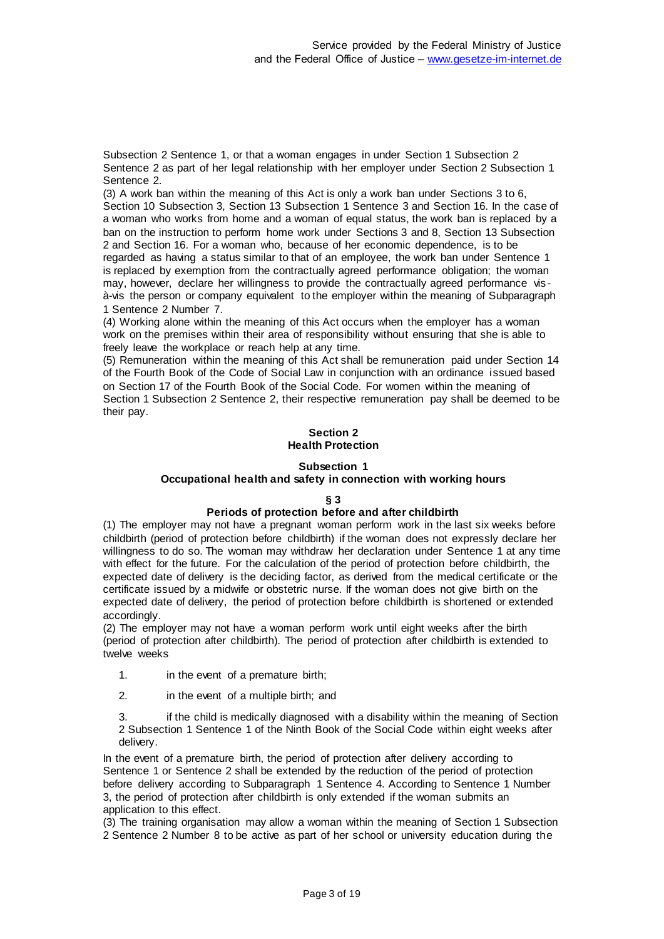Subsection 2 Sentence 1, or that a woman engages in under Section 1 Subsection 2 Sentence 2 as part of her legal relationship with her employer under Section 2 Subsection 1 Sentence 2.

(3) A work ban within the meaning of this Act is only a work ban under Sections 3 to 6, Section 10 Subsection 3, Section 13 Subsection 1 Sentence 3 and Section 16. In the case of a woman who works from home and a woman of equal status, the work ban is replaced by a ban on the instruction to perform home work under Sections 3 and 8, Section 13 Subsection 2 and Section 16. For a woman who, because of her economic dependence, is to be regarded as having a status similar to that of an employee, the work ban under Sentence 1 is replaced by exemption from the contractually agreed performance obligation; the woman may, however, declare her willingness to provide the contractually agreed performance vis à-vis the person or company equivalent to the employer within the meaning of Subparagraph 1 Sentence 2 Number 7.

(4) Working alone within the meaning of this Act occurs when the employer has a woman work on the premises within their area of responsibility without ensuring that she is able to freely leave the workplace or reach help at any time.

(5) Remuneration within the meaning of this Act shall be remuneration paid under Section 14 of the Fourth Book of the Code of Social Law in conjunction with an ordinance issued based on Section 17 of the Fourth Book of the Social Code. For women within the meaning of Section 1 Subsection 2 Sentence 2, their respective remuneration pay shall be deemed to be their pay.

### **Section 2 Health Protection**

### **Subsection 1**

### **Occupational health and safety in connection with working hours**

### **§ 3**

### **Periods of protection before and after childbirth**

(1) The employer may not have a pregnant woman perform work in the last six weeks before childbirth (period of protection before childbirth) if the woman does not expressly declare her willingness to do so. The woman may withdraw her declaration under Sentence 1 at any time with effect for the future. For the calculation of the period of protection before childbirth, the expected date of delivery is the deciding factor, as derived from the medical certificate or the certificate issued by a midwife or obstetric nurse. If the woman does not give birth on the expected date of delivery, the period of protection before childbirth is shortened or extended accordingly.

(2) The employer may not have a woman perform work until eight weeks after the birth (period of protection after childbirth). The period of protection after childbirth is extended to twelve weeks

- 1. in the event of a premature birth;
- 2. in the event of a multiple birth; and

3. if the child is medically diagnosed with a disability within the meaning of Section 2 Subsection 1 Sentence 1 of the Ninth Book of the Social Code within eight weeks after delivery.

In the event of a premature birth, the period of protection after delivery according to Sentence 1 or Sentence 2 shall be extended by the reduction of the period of protection before delivery according to Subparagraph 1 Sentence 4. According to Sentence 1 Number 3, the period of protection after childbirth is only extended if the woman submits an application to this effect.

(3) The training organisation may allow a woman within the meaning of Section 1 Subsection 2 Sentence 2 Number 8 to be active as part of her school or university education during the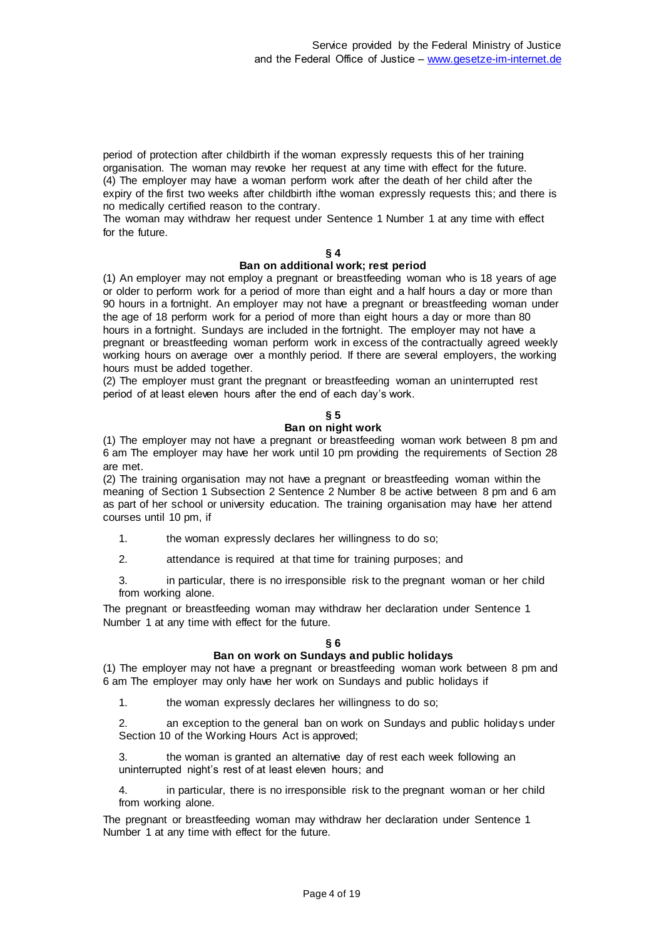period of protection after childbirth if the woman expressly requests this of her training organisation. The woman may revoke her request at any time with effect for the future. (4) The employer may have a woman perform work after the death of her child after the expiry of the first two weeks after childbirth ifthe woman expressly requests this; and there is no medically certified reason to the contrary.

The woman may withdraw her request under Sentence 1 Number 1 at any time with effect for the future.

### **§ 4**

### **Ban on additional work; rest period**

(1) An employer may not employ a pregnant or breastfeeding woman who is 18 years of age or older to perform work for a period of more than eight and a half hours a day or more than 90 hours in a fortnight. An employer may not have a pregnant or breastfeeding woman under the age of 18 perform work for a period of more than eight hours a day or more than 80 hours in a fortnight. Sundays are included in the fortnight. The employer may not have a pregnant or breastfeeding woman perform work in excess of the contractually agreed weekly working hours on average over a monthly period. If there are several employers, the working hours must be added together.

(2) The employer must grant the pregnant or breastfeeding woman an uninterrupted rest period of at least eleven hours after the end of each day's work.

### **§ 5**

### **Ban on night work**

(1) The employer may not have a pregnant or breastfeeding woman work between 8 pm and 6 am The employer may have her work until 10 pm providing the requirements of Section 28 are met.

(2) The training organisation may not have a pregnant or breastfeeding woman within the meaning of Section 1 Subsection 2 Sentence 2 Number 8 be active between 8 pm and 6 am as part of her school or university education. The training organisation may have her attend courses until 10 pm, if

1. the woman expressly declares her willingness to do so;

2. attendance is required at that time for training purposes; and

3. in particular, there is no irresponsible risk to the pregnant woman or her child from working alone.

The pregnant or breastfeeding woman may withdraw her declaration under Sentence 1 Number 1 at any time with effect for the future.

### **§ 6**

### **Ban on work on Sundays and public holidays**

(1) The employer may not have a pregnant or breastfeeding woman work between 8 pm and 6 am The employer may only have her work on Sundays and public holidays if

1. the woman expressly declares her willingness to do so;

2. an exception to the general ban on work on Sundays and public holidays under Section 10 of the Working Hours Act is approved;

3. the woman is granted an alternative day of rest each week following an uninterrupted night's rest of at least eleven hours; and

4. in particular, there is no irresponsible risk to the pregnant woman or her child from working alone.

The pregnant or breastfeeding woman may withdraw her declaration under Sentence 1 Number 1 at any time with effect for the future.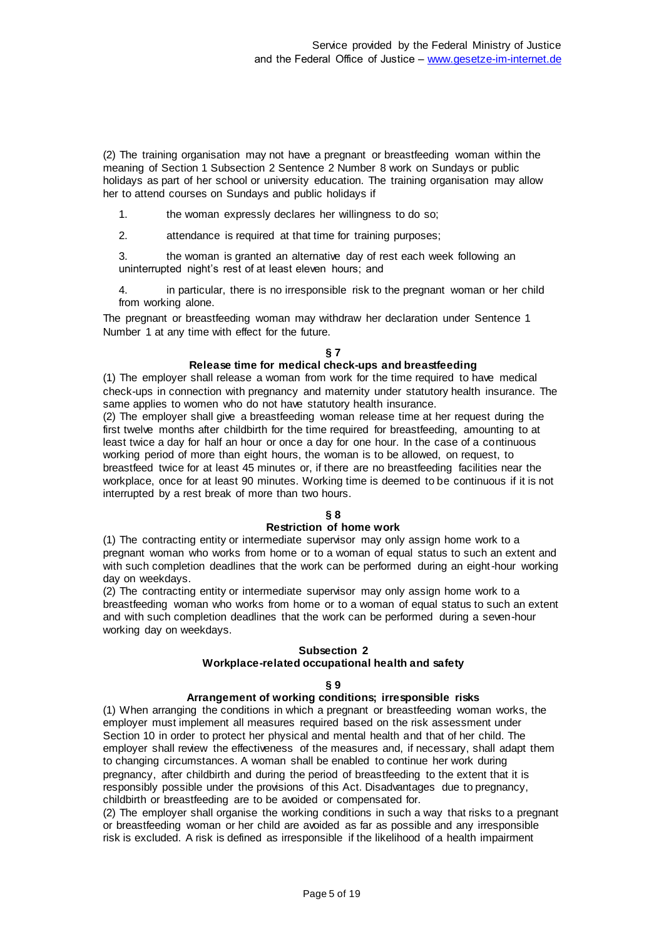(2) The training organisation may not have a pregnant or breastfeeding woman within the meaning of Section 1 Subsection 2 Sentence 2 Number 8 work on Sundays or public holidays as part of her school or university education. The training organisation may allow her to attend courses on Sundays and public holidays if

1. the woman expressly declares her willingness to do so;

2. attendance is required at that time for training purposes;

3. the woman is granted an alternative day of rest each week following an uninterrupted night's rest of at least eleven hours; and

4. in particular, there is no irresponsible risk to the pregnant woman or her child from working alone.

The pregnant or breastfeeding woman may withdraw her declaration under Sentence 1 Number 1 at any time with effect for the future.

### **§ 7**

### **Release time for medical check-ups and breastfeeding**

(1) The employer shall release a woman from work for the time required to have medical check-ups in connection with pregnancy and maternity under statutory health insurance. The same applies to women who do not have statutory health insurance.

(2) The employer shall give a breastfeeding woman release time at her request during the first twelve months after childbirth for the time required for breastfeeding, amounting to at least twice a day for half an hour or once a day for one hour. In the case of a continuous working period of more than eight hours, the woman is to be allowed, on request, to breastfeed twice for at least 45 minutes or, if there are no breastfeeding facilities near the workplace, once for at least 90 minutes. Working time is deemed to be continuous if it is not interrupted by a rest break of more than two hours.

### **§ 8**

### **Restriction of home work**

(1) The contracting entity or intermediate supervisor may only assign home work to a pregnant woman who works from home or to a woman of equal status to such an extent and with such completion deadlines that the work can be performed during an eight-hour working day on weekdays.

(2) The contracting entity or intermediate supervisor may only assign home work to a breastfeeding woman who works from home or to a woman of equal status to such an extent and with such completion deadlines that the work can be performed during a seven-hour working day on weekdays.

### **Subsection 2**

### **Workplace-related occupational health and safety**

### **§ 9**

### **Arrangement of working conditions; irresponsible risks**

(1) When arranging the conditions in which a pregnant or breastfeeding woman works, the employer must implement all measures required based on the risk assessment under Section 10 in order to protect her physical and mental health and that of her child. The employer shall review the effectiveness of the measures and, if necessary, shall adapt them to changing circumstances. A woman shall be enabled to continue her work during pregnancy, after childbirth and during the period of breastfeeding to the extent that it is responsibly possible under the provisions of this Act. Disadvantages due to pregnancy, childbirth or breastfeeding are to be avoided or compensated for.

(2) The employer shall organise the working conditions in such a way that risks to a pregnant or breastfeeding woman or her child are avoided as far as possible and any irresponsible risk is excluded. A risk is defined as irresponsible if the likelihood of a health impairment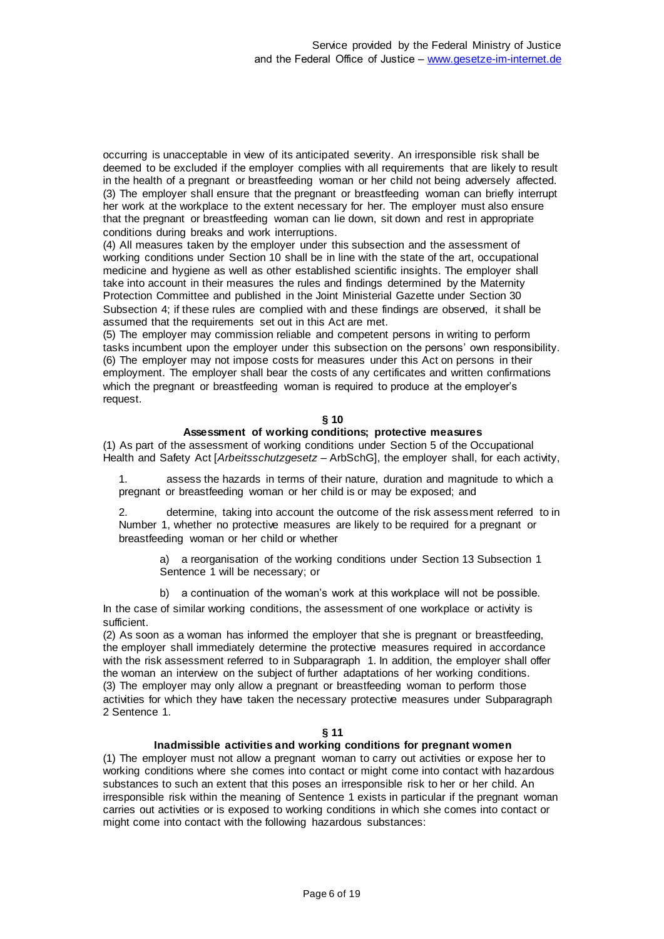occurring is unacceptable in view of its anticipated severity. An irresponsible risk shall be deemed to be excluded if the employer complies with all requirements that are likely to result in the health of a pregnant or breastfeeding woman or her child not being adversely affected. (3) The employer shall ensure that the pregnant or breastfeeding woman can briefly interrupt her work at the workplace to the extent necessary for her. The employer must also ensure that the pregnant or breastfeeding woman can lie down, sit down and rest in appropriate conditions during breaks and work interruptions.

(4) All measures taken by the employer under this subsection and the assessment of working conditions under Section 10 shall be in line with the state of the art, occupational medicine and hygiene as well as other established scientific insights. The employer shall take into account in their measures the rules and findings determined by the Maternity Protection Committee and published in the Joint Ministerial Gazette under Section 30 Subsection 4; if these rules are complied with and these findings are observed, it shall be assumed that the requirements set out in this Act are met.

(5) The employer may commission reliable and competent persons in writing to perform tasks incumbent upon the employer under this subsection on the persons' own responsibility. (6) The employer may not impose costs for measures under this Act on persons in their employment. The employer shall bear the costs of any certificates and written confirmations which the pregnant or breastfeeding woman is required to produce at the employer's request.

### **§ 10**

### **Assessment of working conditions; protective measures**

(1) As part of the assessment of working conditions under Section 5 of the Occupational Health and Safety Act [*Arbeitsschutzgesetz* – ArbSchG], the employer shall, for each activity,

1. assess the hazards in terms of their nature, duration and magnitude to which a pregnant or breastfeeding woman or her child is or may be exposed; and

determine, taking into account the outcome of the risk assessment referred to in Number 1, whether no protective measures are likely to be required for a pregnant or breastfeeding woman or her child or whether

a) a reorganisation of the working conditions under Section 13 Subsection 1 Sentence 1 will be necessary; or

b) a continuation of the woman's work at this workplace will not be possible.

In the case of similar working conditions, the assessment of one workplace or activity is sufficient.

(2) As soon as a woman has informed the employer that she is pregnant or breastfeeding, the employer shall immediately determine the protective measures required in accordance with the risk assessment referred to in Subparagraph 1. In addition, the employer shall offer the woman an interview on the subject of further adaptations of her working conditions. (3) The employer may only allow a pregnant or breastfeeding woman to perform those activities for which they have taken the necessary protective measures under Subparagraph 2 Sentence 1.

### **§ 11**

## **Inadmissible activities and working conditions for pregnant women**

(1) The employer must not allow a pregnant woman to carry out activities or expose her to working conditions where she comes into contact or might come into contact with hazardous substances to such an extent that this poses an irresponsible risk to her or her child. An irresponsible risk within the meaning of Sentence 1 exists in particular if the pregnant woman carries out activities or is exposed to working conditions in which she comes into contact or might come into contact with the following hazardous substances: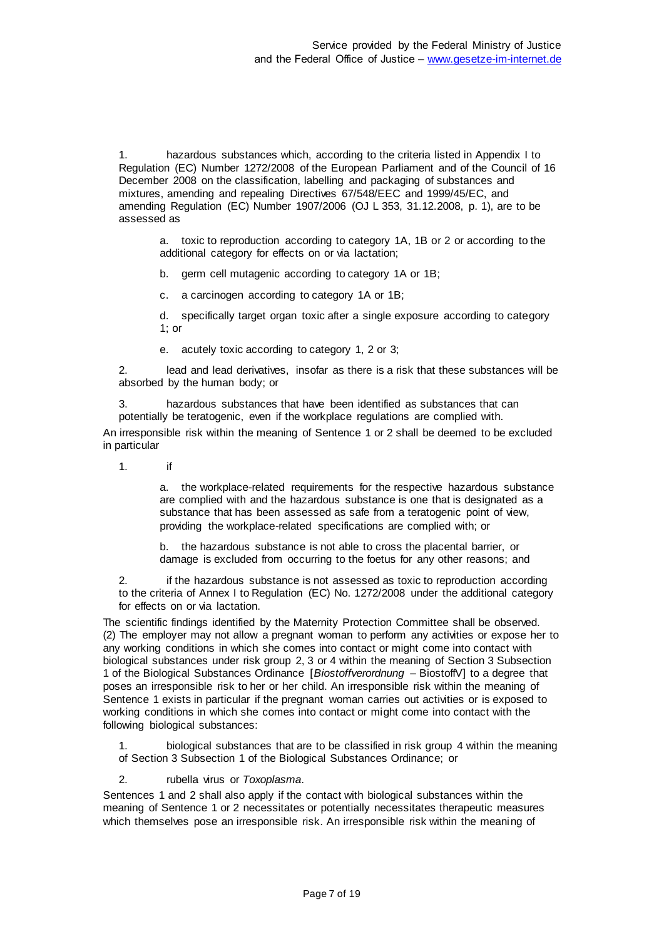1. hazardous substances which, according to the criteria listed in Appendix I to Regulation (EC) Number 1272/2008 of the European Parliament and of the Council of 16 December 2008 on the classification, labelling and packaging of substances and mixtures, amending and repealing Directives 67/548/EEC and 1999/45/EC, and amending Regulation (EC) Number 1907/2006 (OJ L 353, 31.12.2008, p. 1), are to be assessed as

a. toxic to reproduction according to category 1A, 1B or 2 or according to the additional category for effects on or via lactation;

b. germ cell mutagenic according to category 1A or 1B;

c. a carcinogen according to category 1A or 1B;

d. specifically target organ toxic after a single exposure according to category 1; or

e. acutely toxic according to category 1, 2 or 3;

2. lead and lead derivatives, insofar as there is a risk that these substances will be absorbed by the human body; or

3. hazardous substances that have been identified as substances that can potentially be teratogenic, even if the workplace regulations are complied with.

An irresponsible risk within the meaning of Sentence 1 or 2 shall be deemed to be excluded in particular

1. if

a. the workplace-related requirements for the respective hazardous substance are complied with and the hazardous substance is one that is designated as a substance that has been assessed as safe from a teratogenic point of view, providing the workplace-related specifications are complied with; or

b. the hazardous substance is not able to cross the placental barrier, or damage is excluded from occurring to the foetus for any other reasons; and

2. if the hazardous substance is not assessed as toxic to reproduction according to the criteria of Annex I to Regulation (EC) No. 1272/2008 under the additional category for effects on or via lactation.

The scientific findings identified by the Maternity Protection Committee shall be observed. (2) The employer may not allow a pregnant woman to perform any activities or expose her to any working conditions in which she comes into contact or might come into contact with biological substances under risk group 2, 3 or 4 within the meaning of Section 3 Subsection 1 of the Biological Substances Ordinance [*Biostoffverordnung* – BiostoffV] to a degree that poses an irresponsible risk to her or her child. An irresponsible risk within the meaning of Sentence 1 exists in particular if the pregnant woman carries out activities or is exposed to working conditions in which she comes into contact or might come into contact with the following biological substances:

1. biological substances that are to be classified in risk group 4 within the meaning of Section 3 Subsection 1 of the Biological Substances Ordinance; or

2. rubella virus or *Toxoplasma*.

Sentences 1 and 2 shall also apply if the contact with biological substances within the meaning of Sentence 1 or 2 necessitates or potentially necessitates therapeutic measures which themselves pose an irresponsible risk. An irresponsible risk within the meaning of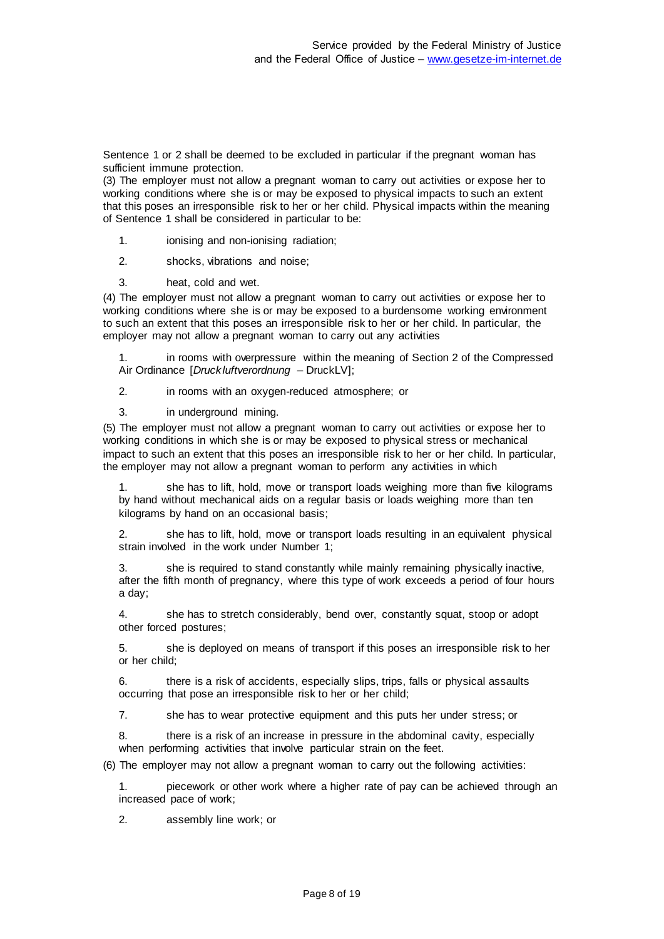Sentence 1 or 2 shall be deemed to be excluded in particular if the pregnant woman has sufficient immune protection.

(3) The employer must not allow a pregnant woman to carry out activities or expose her to working conditions where she is or may be exposed to physical impacts to such an extent that this poses an irresponsible risk to her or her child. Physical impacts within the meaning of Sentence 1 shall be considered in particular to be:

- 1. ionising and non-ionising radiation;
- 2. shocks, vibrations and noise;
- 3. heat, cold and wet.

(4) The employer must not allow a pregnant woman to carry out activities or expose her to working conditions where she is or may be exposed to a burdensome working environment to such an extent that this poses an irresponsible risk to her or her child. In particular, the employer may not allow a pregnant woman to carry out any activities

1. in rooms with overpressure within the meaning of Section 2 of the Compressed Air Ordinance [*Druckluftverordnung* – DruckLV];

2. in rooms with an oxygen-reduced atmosphere; or

3. in underground mining.

(5) The employer must not allow a pregnant woman to carry out activities or expose her to working conditions in which she is or may be exposed to physical stress or mechanical impact to such an extent that this poses an irresponsible risk to her or her child. In particular, the employer may not allow a pregnant woman to perform any activities in which

she has to lift, hold, move or transport loads weighing more than five kilograms by hand without mechanical aids on a regular basis or loads weighing more than ten kilograms by hand on an occasional basis;

2. she has to lift, hold, move or transport loads resulting in an equivalent physical strain involved in the work under Number 1;

3. she is required to stand constantly while mainly remaining physically inactive, after the fifth month of pregnancy, where this type of work exceeds a period of four hours a day;

4. she has to stretch considerably, bend over, constantly squat, stoop or adopt other forced postures;

5. she is deployed on means of transport if this poses an irresponsible risk to her or her child;

6. there is a risk of accidents, especially slips, trips, falls or physical assaults occurring that pose an irresponsible risk to her or her child;

7. she has to wear protective equipment and this puts her under stress; or

8. there is a risk of an increase in pressure in the abdominal cavity, especially when performing activities that involve particular strain on the feet.

(6) The employer may not allow a pregnant woman to carry out the following activities:

1. piecework or other work where a higher rate of pay can be achieved through an increased pace of work;

2. assembly line work; or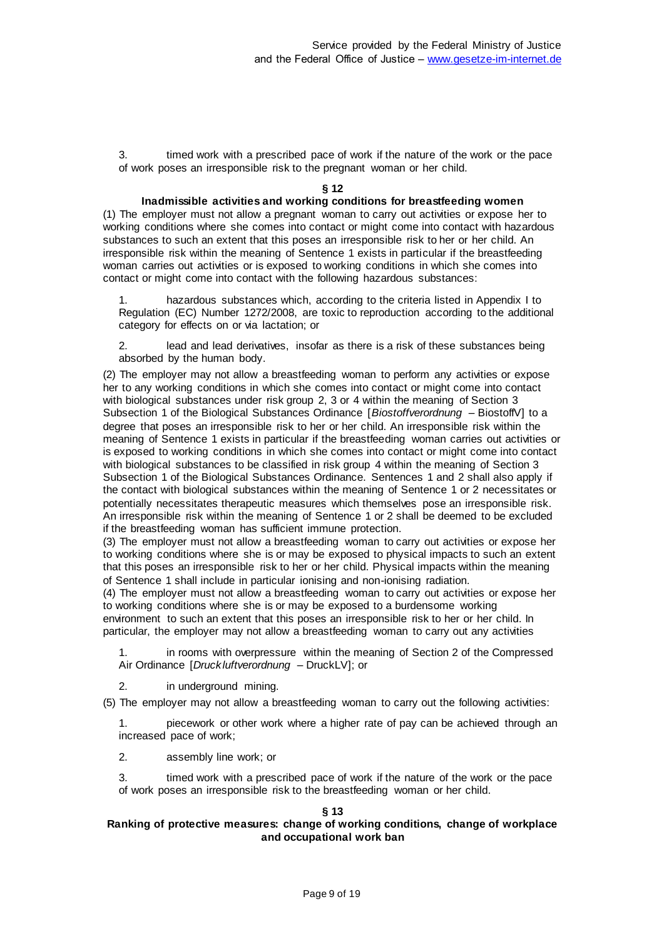3. timed work with a prescribed pace of work if the nature of the work or the pace of work poses an irresponsible risk to the pregnant woman or her child.

### **§ 12**

### **Inadmissible activities and working conditions for breastfeeding women**

(1) The employer must not allow a pregnant woman to carry out activities or expose her to working conditions where she comes into contact or might come into contact with hazardous substances to such an extent that this poses an irresponsible risk to her or her child. An irresponsible risk within the meaning of Sentence 1 exists in particular if the breastfeeding woman carries out activities or is exposed to working conditions in which she comes into contact or might come into contact with the following hazardous substances:

hazardous substances which, according to the criteria listed in Appendix I to Regulation (EC) Number 1272/2008, are toxic to reproduction according to the additional category for effects on or via lactation; or

2. lead and lead derivatives, insofar as there is a risk of these substances being absorbed by the human body.

(2) The employer may not allow a breastfeeding woman to perform any activities or expose her to any working conditions in which she comes into contact or might come into contact with biological substances under risk group 2, 3 or 4 within the meaning of Section 3 Subsection 1 of the Biological Substances Ordinance [*Biostoffverordnung* – BiostoffV] to a degree that poses an irresponsible risk to her or her child. An irresponsible risk within the meaning of Sentence 1 exists in particular if the breastfeeding woman carries out activities or is exposed to working conditions in which she comes into contact or might come into contact with biological substances to be classified in risk group 4 within the meaning of Section 3 Subsection 1 of the Biological Substances Ordinance. Sentences 1 and 2 shall also apply if the contact with biological substances within the meaning of Sentence 1 or 2 necessitates or potentially necessitates therapeutic measures which themselves pose an irresponsible risk. An irresponsible risk within the meaning of Sentence 1 or 2 shall be deemed to be excluded if the breastfeeding woman has sufficient immune protection.

(3) The employer must not allow a breastfeeding woman to carry out activities or expose her to working conditions where she is or may be exposed to physical impacts to such an extent that this poses an irresponsible risk to her or her child. Physical impacts within the meaning of Sentence 1 shall include in particular ionising and non-ionising radiation.

(4) The employer must not allow a breastfeeding woman to carry out activities or expose her to working conditions where she is or may be exposed to a burdensome working environment to such an extent that this poses an irresponsible risk to her or her child. In particular, the employer may not allow a breastfeeding woman to carry out any activities

1. in rooms with overpressure within the meaning of Section 2 of the Compressed Air Ordinance [*Druckluftverordnung* – DruckLV]; or

2. in underground mining.

(5) The employer may not allow a breastfeeding woman to carry out the following activities:

1. piecework or other work where a higher rate of pay can be achieved through an increased pace of work;

2. assembly line work; or

3. timed work with a prescribed pace of work if the nature of the work or the pace of work poses an irresponsible risk to the breastfeeding woman or her child.

### **§ 13**

## **Ranking of protective measures: change of working conditions, change of workplace and occupational work ban**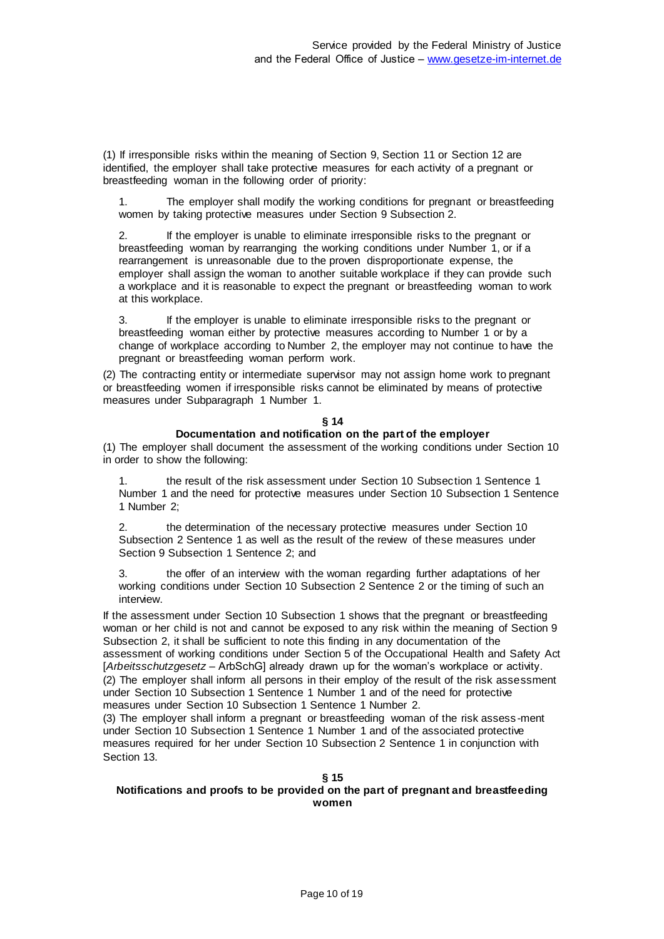(1) If irresponsible risks within the meaning of Section 9, Section 11 or Section 12 are identified, the employer shall take protective measures for each activity of a pregnant or breastfeeding woman in the following order of priority:

1. The employer shall modify the working conditions for pregnant or breastfeeding women by taking protective measures under Section 9 Subsection 2.

2. If the employer is unable to eliminate irresponsible risks to the pregnant or breastfeeding woman by rearranging the working conditions under Number 1, or if a rearrangement is unreasonable due to the proven disproportionate expense, the employer shall assign the woman to another suitable workplace if they can provide such a workplace and it is reasonable to expect the pregnant or breastfeeding woman to work at this workplace.

3. If the employer is unable to eliminate irresponsible risks to the pregnant or breastfeeding woman either by protective measures according to Number 1 or by a change of workplace according to Number 2, the employer may not continue to have the pregnant or breastfeeding woman perform work.

(2) The contracting entity or intermediate supervisor may not assign home work to pregnant or breastfeeding women if irresponsible risks cannot be eliminated by means of protective measures under Subparagraph 1 Number 1.

### **§ 14**

### **Documentation and notification on the part of the employer**

(1) The employer shall document the assessment of the working conditions under Section 10 in order to show the following:

1. the result of the risk assessment under Section 10 Subsection 1 Sentence 1 Number 1 and the need for protective measures under Section 10 Subsection 1 Sentence 1 Number 2;

2. the determination of the necessary protective measures under Section 10 Subsection 2 Sentence 1 as well as the result of the review of these measures under Section 9 Subsection 1 Sentence 2; and

the offer of an interview with the woman regarding further adaptations of her working conditions under Section 10 Subsection 2 Sentence 2 or the timing of such an interview

If the assessment under Section 10 Subsection 1 shows that the pregnant or breastfeeding woman or her child is not and cannot be exposed to any risk within the meaning of Section 9 Subsection 2, it shall be sufficient to note this finding in any documentation of the

assessment of working conditions under Section 5 of the Occupational Health and Safety Act [*Arbeitsschutzgesetz* – ArbSchG] already drawn up for the woman's workplace or activity. (2) The employer shall inform all persons in their employ of the result of the risk assessment under Section 10 Subsection 1 Sentence 1 Number 1 and of the need for protective measures under Section 10 Subsection 1 Sentence 1 Number 2.

(3) The employer shall inform a pregnant or breastfeeding woman of the risk assess -ment under Section 10 Subsection 1 Sentence 1 Number 1 and of the associated protective measures required for her under Section 10 Subsection 2 Sentence 1 in conjunction with Section 13.

### **§ 15**

### **Notifications and proofs to be provided on the part of pregnant and breastfeeding women**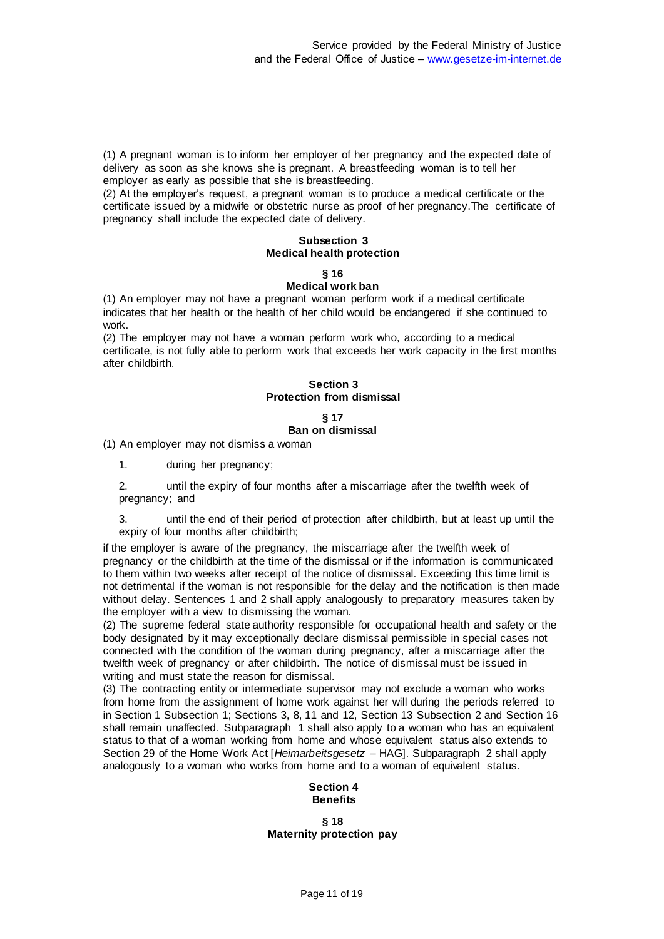(1) A pregnant woman is to inform her employer of her pregnancy and the expected date of delivery as soon as she knows she is pregnant. A breastfeeding woman is to tell her employer as early as possible that she is breastfeeding.

(2) At the employer's request, a pregnant woman is to produce a medical certificate or the certificate issued by a midwife or obstetric nurse as proof of her pregnancy.The certificate of pregnancy shall include the expected date of delivery.

# **Subsection 3 Medical health protection**

# **§ 16**

# **Medical work ban**

(1) An employer may not have a pregnant woman perform work if a medical certificate indicates that her health or the health of her child would be endangered if she continued to work.

(2) The employer may not have a woman perform work who, according to a medical certificate, is not fully able to perform work that exceeds her work capacity in the first months after childbirth.

### **Section 3 Protection from dismissal**

# **§ 17 Ban on dismissal**

(1) An employer may not dismiss a woman

1. during her pregnancy;

2. until the expiry of four months after a miscarriage after the twelfth week of pregnancy; and

3. until the end of their period of protection after childbirth, but at least up until the expiry of four months after childbirth;

if the employer is aware of the pregnancy, the miscarriage after the twelfth week of pregnancy or the childbirth at the time of the dismissal or if the information is communicated to them within two weeks after receipt of the notice of dismissal. Exceeding this time limit is not detrimental if the woman is not responsible for the delay and the notification is then made without delay. Sentences 1 and 2 shall apply analogously to preparatory measures taken by the employer with a view to dismissing the woman.

(2) The supreme federal state authority responsible for occupational health and safety or the body designated by it may exceptionally declare dismissal permissible in special cases not connected with the condition of the woman during pregnancy, after a miscarriage after the twelfth week of pregnancy or after childbirth. The notice of dismissal must be issued in writing and must state the reason for dismissal.

(3) The contracting entity or intermediate supervisor may not exclude a woman who works from home from the assignment of home work against her will during the periods referred to in Section 1 Subsection 1; Sections 3, 8, 11 and 12, Section 13 Subsection 2 and Section 16 shall remain unaffected. Subparagraph 1 shall also apply to a woman who has an equivalent status to that of a woman working from home and whose equivalent status also extends to Section 29 of the Home Work Act [*Heimarbeitsgesetz* – HAG]. Subparagraph 2 shall apply analogously to a woman who works from home and to a woman of equivalent status.

# **Section 4 Benefits**

**§ 18 Maternity protection pay**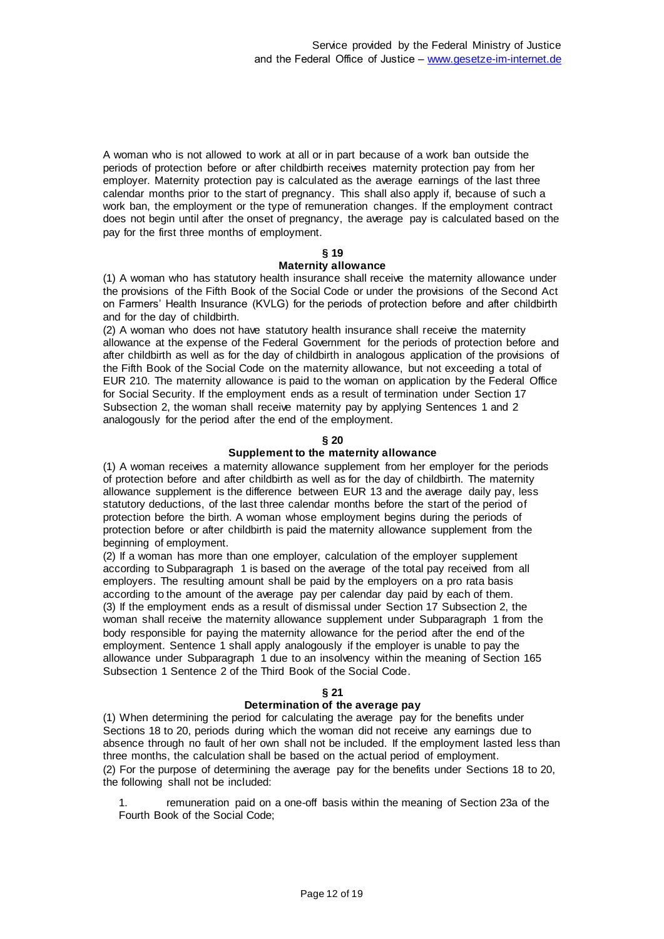A woman who is not allowed to work at all or in part because of a work ban outside the periods of protection before or after childbirth receives maternity protection pay from her employer. Maternity protection pay is calculated as the average earnings of the last three calendar months prior to the start of pregnancy. This shall also apply if, because of such a work ban, the employment or the type of remuneration changes. If the employment contract does not begin until after the onset of pregnancy, the average pay is calculated based on the pay for the first three months of employment.

### **§ 19**

### **Maternity allowance**

(1) A woman who has statutory health insurance shall receive the maternity allowance under the provisions of the Fifth Book of the Social Code or under the provisions of the Second Act on Farmers' Health Insurance (KVLG) for the periods of protection before and after childbirth and for the day of childbirth.

(2) A woman who does not have statutory health insurance shall receive the maternity allowance at the expense of the Federal Government for the periods of protection before and after childbirth as well as for the day of childbirth in analogous application of the provisions of the Fifth Book of the Social Code on the maternity allowance, but not exceeding a total of EUR 210. The maternity allowance is paid to the woman on application by the Federal Office for Social Security. If the employment ends as a result of termination under Section 17 Subsection 2, the woman shall receive maternity pay by applying Sentences 1 and 2 analogously for the period after the end of the employment.

### **§ 20**

### **Supplement to the maternity allowance**

(1) A woman receives a maternity allowance supplement from her employer for the periods of protection before and after childbirth as well as for the day of childbirth. The maternity allowance supplement is the difference between EUR 13 and the average daily pay, less statutory deductions, of the last three calendar months before the start of the period of protection before the birth. A woman whose employment begins during the periods of protection before or after childbirth is paid the maternity allowance supplement from the beginning of employment.

(2) If a woman has more than one employer, calculation of the employer supplement according to Subparagraph 1 is based on the average of the total pay received from all employers. The resulting amount shall be paid by the employers on a pro rata basis according to the amount of the average pay per calendar day paid by each of them. (3) If the employment ends as a result of dismissal under Section 17 Subsection 2, the woman shall receive the maternity allowance supplement under Subparagraph 1 from the body responsible for paying the maternity allowance for the period after the end of the employment. Sentence 1 shall apply analogously if the employer is unable to pay the allowance under Subparagraph 1 due to an insolvency within the meaning of Section 165 Subsection 1 Sentence 2 of the Third Book of the Social Code.

### **§ 21**

### **Determination of the average pay**

(1) When determining the period for calculating the average pay for the benefits under Sections 18 to 20, periods during which the woman did not receive any earnings due to absence through no fault of her own shall not be included. If the employment lasted less than three months, the calculation shall be based on the actual period of employment. (2) For the purpose of determining the average pay for the benefits under Sections 18 to 20, the following shall not be included:

1. remuneration paid on a one-off basis within the meaning of Section 23a of the Fourth Book of the Social Code;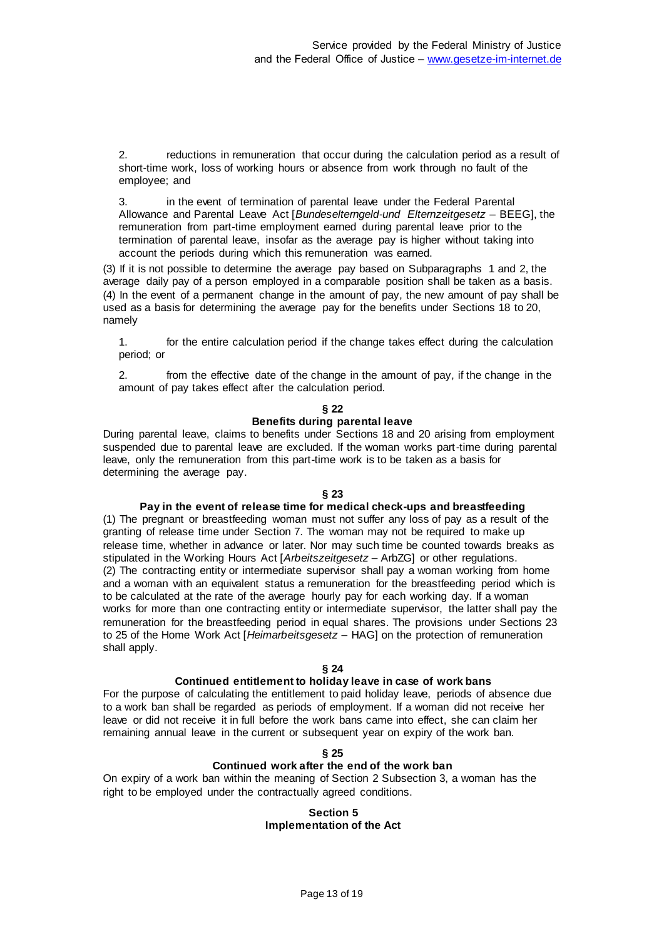2. reductions in remuneration that occur during the calculation period as a result of short-time work, loss of working hours or absence from work through no fault of the employee; and

3. in the event of termination of parental leave under the Federal Parental Allowance and Parental Leave Act [*Bundeselterngeld-und Elternzeitgesetz* – BEEG], the remuneration from part-time employment earned during parental leave prior to the termination of parental leave, insofar as the average pay is higher without taking into account the periods during which this remuneration was earned.

(3) If it is not possible to determine the average pay based on Subparagraphs 1 and 2, the average daily pay of a person employed in a comparable position shall be taken as a basis. (4) In the event of a permanent change in the amount of pay, the new amount of pay shall be used as a basis for determining the average pay for the benefits under Sections 18 to 20, namely

1. for the entire calculation period if the change takes effect during the calculation period; or

2. from the effective date of the change in the amount of pay, if the change in the amount of pay takes effect after the calculation period.

### **§ 22**

# **Benefits during parental leave**

During parental leave, claims to benefits under Sections 18 and 20 arising from employment suspended due to parental leave are excluded. If the woman works part-time during parental leave, only the remuneration from this part-time work is to be taken as a basis for determining the average pay.

### **§ 23**

### **Pay in the event of release time for medical check-ups and breastfeeding**

(1) The pregnant or breastfeeding woman must not suffer any loss of pay as a result of the granting of release time under Section 7. The woman may not be required to make up release time, whether in advance or later. Nor may such time be counted towards breaks as stipulated in the Working Hours Act [*Arbeitszeitgesetz* – ArbZG] or other regulations. (2) The contracting entity or intermediate supervisor shall pay a woman working from home and a woman with an equivalent status a remuneration for the breastfeeding period which is to be calculated at the rate of the average hourly pay for each working day. If a woman works for more than one contracting entity or intermediate supervisor, the latter shall pay the remuneration for the breastfeeding period in equal shares. The provisions under Sections 23 to 25 of the Home Work Act [*Heimarbeitsgesetz* – HAG] on the protection of remuneration shall apply.

### **§ 24**

### **Continued entitlement to holiday leave in case of work bans**

For the purpose of calculating the entitlement to paid holiday leave, periods of absence due to a work ban shall be regarded as periods of employment. If a woman did not receive her leave or did not receive it in full before the work bans came into effect, she can claim her remaining annual leave in the current or subsequent year on expiry of the work ban.

### **§ 25**

### **Continued work after the end of the work ban**

On expiry of a work ban within the meaning of Section 2 Subsection 3, a woman has the right to be employed under the contractually agreed conditions.

### **Section 5 Implementation of the Act**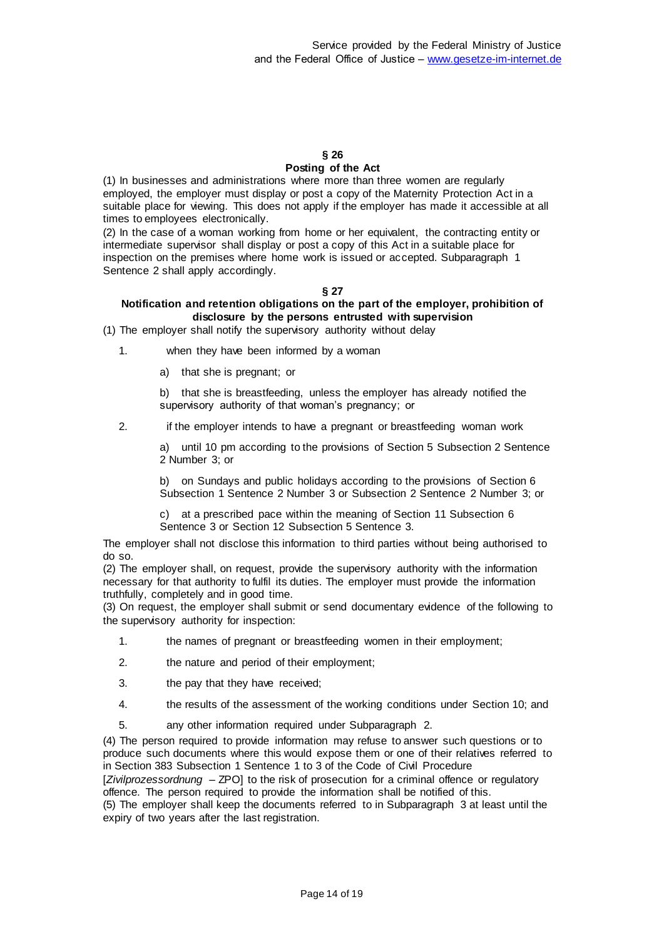### **§ 26 Posting of the Act**

(1) In businesses and administrations where more than three women are regularly employed, the employer must display or post a copy of the Maternity Protection Act in a suitable place for viewing. This does not apply if the employer has made it accessible at all times to employees electronically.

(2) In the case of a woman working from home or her equivalent, the contracting entity or intermediate supervisor shall display or post a copy of this Act in a suitable place for inspection on the premises where home work is issued or accepted. Subparagraph 1 Sentence 2 shall apply accordingly.

# **§ 27**

# **Notification and retention obligations on the part of the employer, prohibition of disclosure by the persons entrusted with supervision**

(1) The employer shall notify the supervisory authority without delay

1. when they have been informed by a woman

a) that she is pregnant; or

b) that she is breastfeeding, unless the employer has already notified the supervisory authority of that woman's pregnancy; or

2. if the employer intends to have a pregnant or breastfeeding woman work

a) until 10 pm according to the provisions of Section 5 Subsection 2 Sentence 2 Number 3; or

b) on Sundays and public holidays according to the provisions of Section 6 Subsection 1 Sentence 2 Number 3 or Subsection 2 Sentence 2 Number 3; or

c) at a prescribed pace within the meaning of Section 11 Subsection 6 Sentence 3 or Section 12 Subsection 5 Sentence 3.

The employer shall not disclose this information to third parties without being authorised to do so.

(2) The employer shall, on request, provide the supervisory authority with the information necessary for that authority to fulfil its duties. The employer must provide the information truthfully, completely and in good time.

(3) On request, the employer shall submit or send documentary evidence of the following to the supervisory authority for inspection:

- 1. the names of pregnant or breastfeeding women in their employment;
- 2. the nature and period of their employment;
- 3. the pay that they have received;
- 4. the results of the assessment of the working conditions under Section 10; and
- 5. any other information required under Subparagraph 2.

(4) The person required to provide information may refuse to answer such questions or to produce such documents where this would expose them or one of their relatives referred to in Section 383 Subsection 1 Sentence 1 to 3 of the Code of Civil Procedure

[*Zivilprozessordnung* – ZPO] to the risk of prosecution for a criminal offence or regulatory offence. The person required to provide the information shall be notified of this.

(5) The employer shall keep the documents referred to in Subparagraph 3 at least until the expiry of two years after the last registration.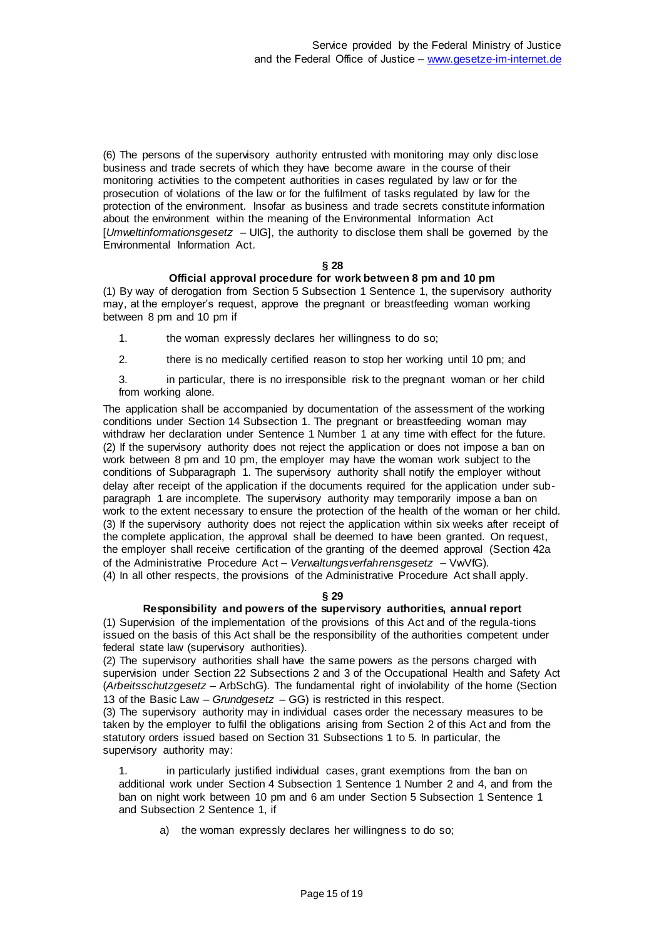(6) The persons of the supervisory authority entrusted with monitoring may only disc lose business and trade secrets of which they have become aware in the course of their monitoring activities to the competent authorities in cases regulated by law or for the prosecution of violations of the law or for the fulfilment of tasks regulated by law for the protection of the environment. Insofar as business and trade secrets constitute information about the environment within the meaning of the Environmental Information Act [*Umweltinformationsgesetz* – UIG], the authority to disclose them shall be governed by the Environmental Information Act.

### **§ 28**

### **Official approval procedure for work between 8 pm and 10 pm**

(1) By way of derogation from Section 5 Subsection 1 Sentence 1, the supervisory authority may, at the employer's request, approve the pregnant or breastfeeding woman working between 8 pm and 10 pm if

1. the woman expressly declares her willingness to do so;

2. there is no medically certified reason to stop her working until 10 pm; and

3. in particular, there is no irresponsible risk to the pregnant woman or her child from working alone.

The application shall be accompanied by documentation of the assessment of the working conditions under Section 14 Subsection 1. The pregnant or breastfeeding woman may withdraw her declaration under Sentence 1 Number 1 at any time with effect for the future. (2) If the supervisory authority does not reject the application or does not impose a ban on work between 8 pm and 10 pm, the employer may have the woman work subject to the conditions of Subparagraph 1. The supervisory authority shall notify the employer without delay after receipt of the application if the documents required for the application under subparagraph 1 are incomplete. The supervisory authority may temporarily impose a ban on work to the extent necessary to ensure the protection of the health of the woman or her child. (3) If the supervisory authority does not reject the application within six weeks after receipt of the complete application, the approval shall be deemed to have been granted. On request, the employer shall receive certification of the granting of the deemed approval (Section 42a of the Administrative Procedure Act – *Verwaltungsverfahrensgesetz* – VwVfG). (4) In all other respects, the provisions of the Administrative Procedure Act shall apply.

### **§ 29**

# **Responsibility and powers of the supervisory authorities, annual report**

(1) Supervision of the implementation of the provisions of this Act and of the regula-tions issued on the basis of this Act shall be the responsibility of the authorities competent under federal state law (supervisory authorities).

(2) The supervisory authorities shall have the same powers as the persons charged with supervision under Section 22 Subsections 2 and 3 of the Occupational Health and Safety Act (*Arbeitsschutzgesetz* – ArbSchG). The fundamental right of inviolability of the home (Section 13 of the Basic Law – *Grundgesetz* – GG) is restricted in this respect.

(3) The supervisory authority may in individual cases order the necessary measures to be taken by the employer to fulfil the obligations arising from Section 2 of this Act and from the statutory orders issued based on Section 31 Subsections 1 to 5. In particular, the supervisory authority may:

1. in particularly justified individual cases, grant exemptions from the ban on additional work under Section 4 Subsection 1 Sentence 1 Number 2 and 4, and from the ban on night work between 10 pm and 6 am under Section 5 Subsection 1 Sentence 1 and Subsection 2 Sentence 1, if

a) the woman expressly declares her willingness to do so;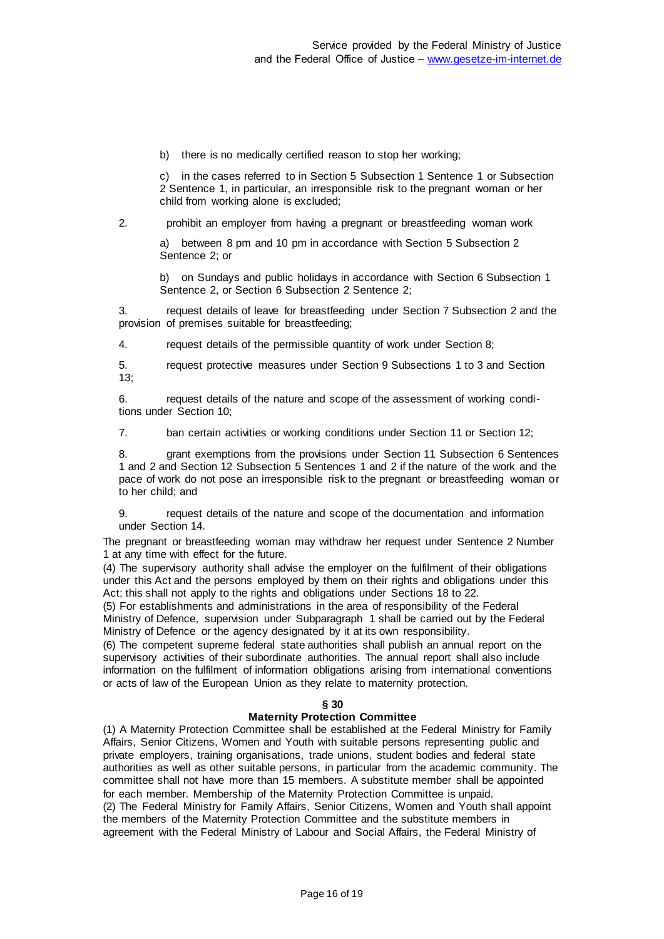b) there is no medically certified reason to stop her working;

c) in the cases referred to in Section 5 Subsection 1 Sentence 1 or Subsection 2 Sentence 1, in particular, an irresponsible risk to the pregnant woman or her child from working alone is excluded;

2. prohibit an employer from having a pregnant or breastfeeding woman work

a) between 8 pm and 10 pm in accordance with Section 5 Subsection 2 Sentence 2; or

b) on Sundays and public holidays in accordance with Section 6 Subsection 1 Sentence 2, or Section 6 Subsection 2 Sentence 2;

3. request details of leave for breastfeeding under Section 7 Subsection 2 and the provision of premises suitable for breastfeeding;

4. request details of the permissible quantity of work under Section 8;

5. request protective measures under Section 9 Subsections 1 to 3 and Section 13;

6. request details of the nature and scope of the assessment of working conditions under Section 10;

7. ban certain activities or working conditions under Section 11 or Section 12;

8. grant exemptions from the provisions under Section 11 Subsection 6 Sentences 1 and 2 and Section 12 Subsection 5 Sentences 1 and 2 if the nature of the work and the pace of work do not pose an irresponsible risk to the pregnant or breastfeeding woman or to her child; and

9. request details of the nature and scope of the documentation and information under Section 14.

The pregnant or breastfeeding woman may withdraw her request under Sentence 2 Number 1 at any time with effect for the future.

(4) The supervisory authority shall advise the employer on the fulfilment of their obligations under this Act and the persons employed by them on their rights and obligations under this Act; this shall not apply to the rights and obligations under Sections 18 to 22.

(5) For establishments and administrations in the area of responsibility of the Federal Ministry of Defence, supervision under Subparagraph 1 shall be carried out by the Federal Ministry of Defence or the agency designated by it at its own responsibility.

(6) The competent supreme federal state authorities shall publish an annual report on the supervisory activities of their subordinate authorities. The annual report shall also include information on the fulfilment of information obligations arising from international conventions or acts of law of the European Union as they relate to maternity protection.

# **§ 30**

### **Maternity Protection Committee**

(1) A Maternity Protection Committee shall be established at the Federal Ministry for Family Affairs, Senior Citizens, Women and Youth with suitable persons representing public and private employers, training organisations, trade unions, student bodies and federal state authorities as well as other suitable persons, in particular from the academic community. The committee shall not have more than 15 members. A substitute member shall be appointed for each member. Membership of the Maternity Protection Committee is unpaid. (2) The Federal Ministry for Family Affairs, Senior Citizens, Women and Youth shall appoint the members of the Maternity Protection Committee and the substitute members in agreement with the Federal Ministry of Labour and Social Affairs, the Federal Ministry of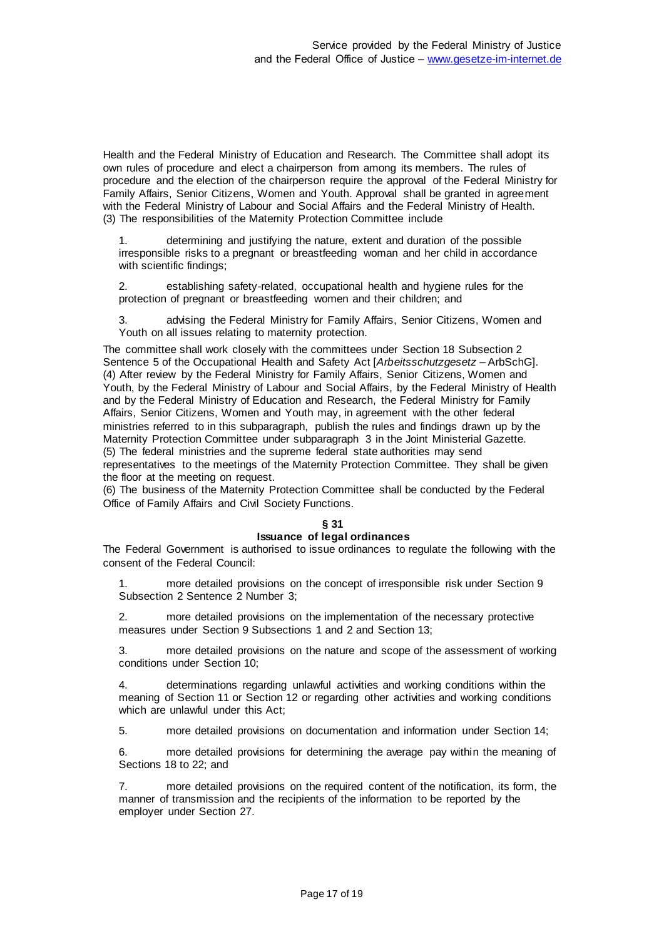Health and the Federal Ministry of Education and Research. The Committee shall adopt its own rules of procedure and elect a chairperson from among its members. The rules of procedure and the election of the chairperson require the approval of the Federal Ministry for Family Affairs, Senior Citizens, Women and Youth. Approval shall be granted in agreement with the Federal Ministry of Labour and Social Affairs and the Federal Ministry of Health. (3) The responsibilities of the Maternity Protection Committee include

1. determining and justifying the nature, extent and duration of the possible irresponsible risks to a pregnant or breastfeeding woman and her child in accordance with scientific findings;

2. establishing safety-related, occupational health and hygiene rules for the protection of pregnant or breastfeeding women and their children; and

3. advising the Federal Ministry for Family Affairs, Senior Citizens, Women and Youth on all issues relating to maternity protection.

The committee shall work closely with the committees under Section 18 Subsection 2 Sentence 5 of the Occupational Health and Safety Act [*Arbeitsschutzgesetz* – ArbSchG]. (4) After review by the Federal Ministry for Family Affairs, Senior Citizens, Women and Youth, by the Federal Ministry of Labour and Social Affairs, by the Federal Ministry of Health and by the Federal Ministry of Education and Research, the Federal Ministry for Family Affairs, Senior Citizens, Women and Youth may, in agreement with the other federal ministries referred to in this subparagraph, publish the rules and findings drawn up by the Maternity Protection Committee under subparagraph 3 in the Joint Ministerial Gazette. (5) The federal ministries and the supreme federal state authorities may send representatives to the meetings of the Maternity Protection Committee. They shall be given the floor at the meeting on request.

(6) The business of the Maternity Protection Committee shall be conducted by the Federal Office of Family Affairs and Civil Society Functions.

### **§ 31**

### **Issuance of legal ordinances**

The Federal Government is authorised to issue ordinances to regulate the following with the consent of the Federal Council:

1. more detailed provisions on the concept of irresponsible risk under Section 9 Subsection 2 Sentence 2 Number 3;

2. more detailed provisions on the implementation of the necessary protective measures under Section 9 Subsections 1 and 2 and Section 13;

more detailed provisions on the nature and scope of the assessment of working conditions under Section 10;

4. determinations regarding unlawful activities and working conditions within the meaning of Section 11 or Section 12 or regarding other activities and working conditions which are unlawful under this Act;

5. more detailed provisions on documentation and information under Section 14;

6. more detailed provisions for determining the average pay within the meaning of Sections 18 to 22; and

7. more detailed provisions on the required content of the notification, its form, the manner of transmission and the recipients of the information to be reported by the employer under Section 27.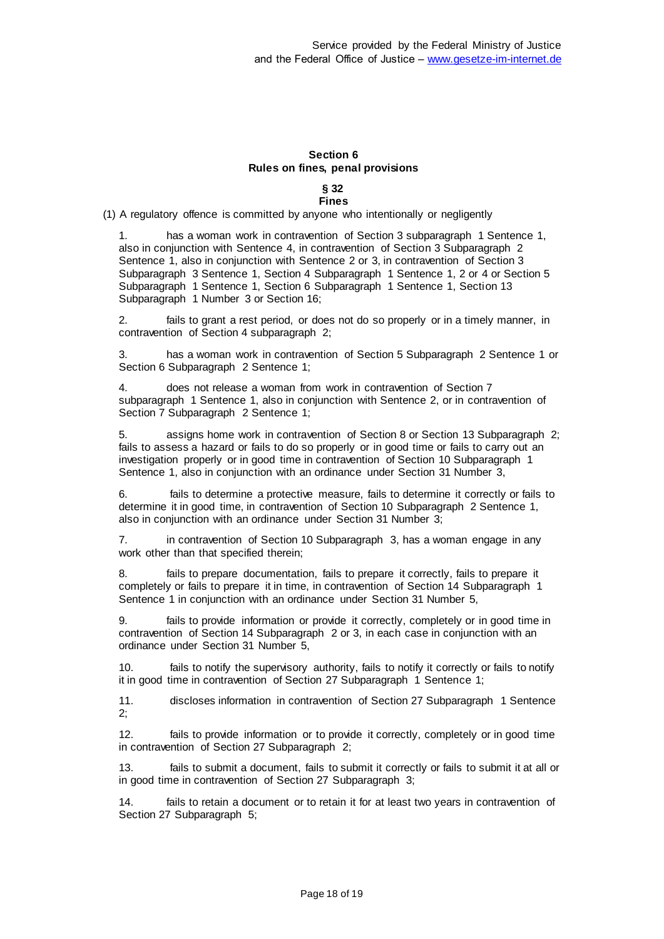# **Section 6 Rules on fines, penal provisions**

#### **§ 32 Fines**

(1) A regulatory offence is committed by anyone who intentionally or negligently

1. has a woman work in contravention of Section 3 subparagraph 1 Sentence 1, also in conjunction with Sentence 4, in contravention of Section 3 Subparagraph 2 Sentence 1, also in conjunction with Sentence 2 or 3, in contravention of Section 3 Subparagraph 3 Sentence 1, Section 4 Subparagraph 1 Sentence 1, 2 or 4 or Section 5 Subparagraph 1 Sentence 1, Section 6 Subparagraph 1 Sentence 1, Section 13 Subparagraph 1 Number 3 or Section 16;

2. fails to grant a rest period, or does not do so properly or in a timely manner, in contravention of Section 4 subparagraph 2;

3. has a woman work in contravention of Section 5 Subparagraph 2 Sentence 1 or Section 6 Subparagraph 2 Sentence 1;

4. does not release a woman from work in contravention of Section 7 subparagraph 1 Sentence 1, also in conjunction with Sentence 2, or in contravention of Section 7 Subparagraph 2 Sentence 1;

5. assigns home work in contravention of Section 8 or Section 13 Subparagraph 2; fails to assess a hazard or fails to do so properly or in good time or fails to carry out an investigation properly or in good time in contravention of Section 10 Subparagraph 1 Sentence 1, also in conjunction with an ordinance under Section 31 Number 3,

6. fails to determine a protective measure, fails to determine it correctly or fails to determine it in good time, in contravention of Section 10 Subparagraph 2 Sentence 1, also in conjunction with an ordinance under Section 31 Number 3;

7. in contravention of Section 10 Subparagraph 3, has a woman engage in any work other than that specified therein;

8. fails to prepare documentation, fails to prepare it correctly, fails to prepare it completely or fails to prepare it in time, in contravention of Section 14 Subparagraph 1 Sentence 1 in conjunction with an ordinance under Section 31 Number 5,

9. fails to provide information or provide it correctly, completely or in good time in contravention of Section 14 Subparagraph 2 or 3, in each case in conjunction with an ordinance under Section 31 Number 5,

10. fails to notify the supervisory authority, fails to notify it correctly or fails to notify it in good time in contravention of Section 27 Subparagraph 1 Sentence 1;

11. discloses information in contravention of Section 27 Subparagraph 1 Sentence 2;

12. fails to provide information or to provide it correctly, completely or in good time in contravention of Section 27 Subparagraph 2;

13. fails to submit a document, fails to submit it correctly or fails to submit it at all or in good time in contravention of Section 27 Subparagraph 3;

14. fails to retain a document or to retain it for at least two years in contravention of Section 27 Subparagraph 5;